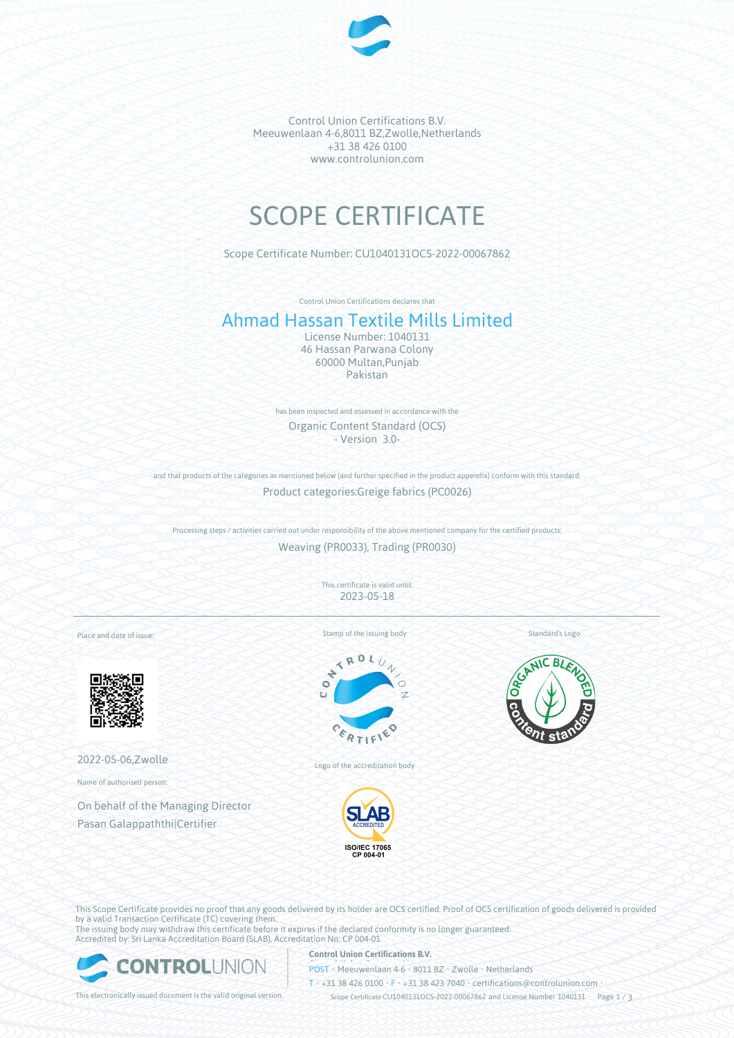

Control Union Certifications B.V. Meeuwenlaan 4-6,8011 BZ,Zwolle,Netherlands +31 38 426 0100 www.controlunion.com

# SCOPE CERTIFICATE

Scope Certificate Number: CU1040131OCS-2022-00067862

Control Union Certifications declares that

# Ahmad Hassan Textile Mills Limited

License Number: 1040131 46 Hassan Parwana Colony 60000 Multan,Punjab Pakistan

has been inspected and assessed in accordance with the Organic Content Standard (OCS) - Version 3.0-

and that products of the categories as mentioned below (and further specified in the product appendix) conform with this standard. Product categories:Greige fabrics (PC0026)

Processing steps / activities carried out under responsibility of the above mentioned company for the certified products: Weaving (PR0033), Trading (PR0030)

> This certificate is valid until: 2023-05-18

Place and date of issue:



2022-05-06,Zwolle

Name of authorised person:

On behalf of the Managing Director Pasan Galappaththi|Certifier

Stamp of the issuing body



Logo of the accreditation body



Standard's Logo



This Scope Certificate provides no proof that any goods delivered by its holder are OCS certified. Proof of OCS certification of goods delivered is provided by a valid Transaction Certificate (TC) covering them.

The issuing body may withdraw this certificate before it expires if the declared conformity is no longer guaranteed. Accredited by: Sri Lanka Accreditation Board (SLAB), Accreditation No: CP 004-01



#### **Control Union Certifications B.V.**

**POST** • Meeuwenlaan 4-6 • 8011 BZ • Zwolle • Netherlands

T • +31 38 426 0100 • F • +31 38 423 7040 • certifications@controlunion.com •

This electronically issued document is the valid original version. Scope Certificate CU1040131OCS-2022-00067862 and License Number 1040131 Page 1 / 3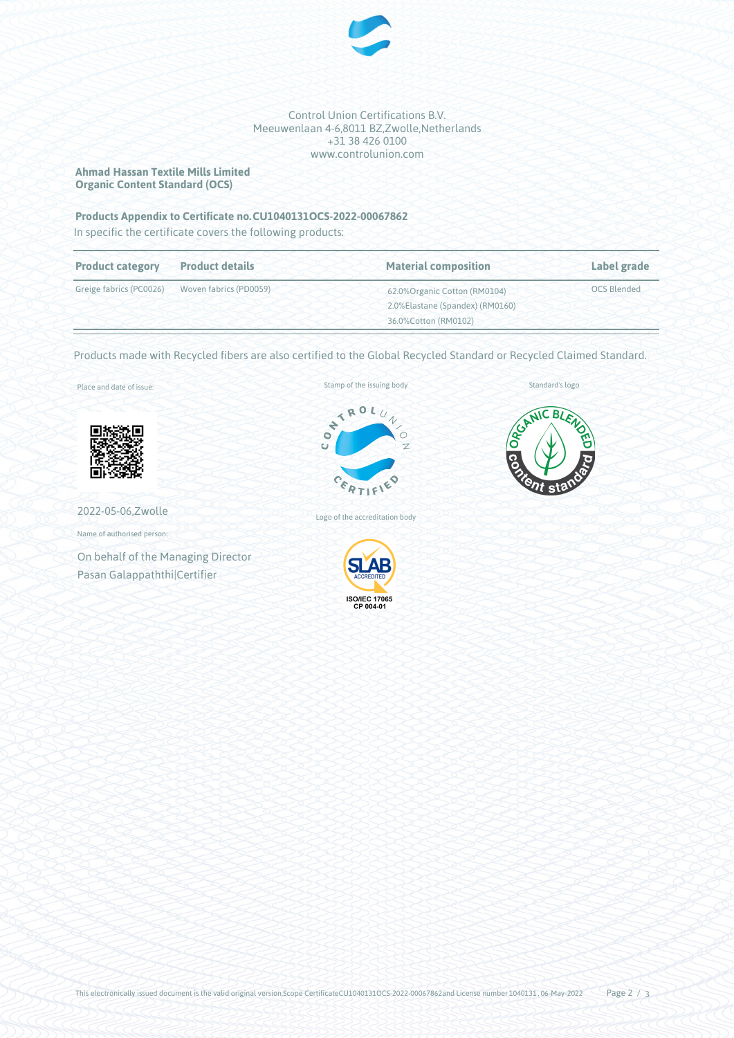

Control Union Certifications B.V. Meeuwenlaan 4-6,8011 BZ,Zwolle,Netherlands +31 38 426 0100 www.controlunion.com

**Ahmad Hassan Textile Mills Limited Organic Content Standard (OCS)**

## Products Appendix to Certificate no. CU1040131OCS-2022-00067862

In specific the certificate covers the following products:

| <b>Product category</b> | <b>Product details</b>                         | <b>Material composition</b>     | Label grade        |
|-------------------------|------------------------------------------------|---------------------------------|--------------------|
|                         | Greige fabrics (PC0026) Woven fabrics (PD0059) | 62.0% Organic Cotton (RM0104)   | <b>OCS Blended</b> |
|                         |                                                | 2.0%Elastane (Spandex) (RM0160) |                    |
|                         |                                                | 36.0%Cotton (RM0102)            |                    |

Products made with Recycled fibers are also certified to the Global Recycled Standard or Recycled Claimed Standard.

Place and date of issue:



2022-05-06,Zwolle

Name of authorised person:

On behalf of the Managing Director Pasan Galappaththi|Certifier





Standard's logo

Logo of the accreditation body